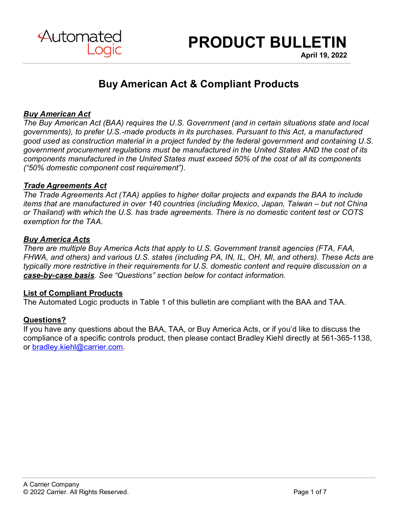

**April 19, 2022**

# **Buy American Act & Compliant Products**

# *Buy American Act*

*The Buy American Act (BAA) requires the U.S. Government (and in certain situations state and local governments), to prefer U.S.-made products in its purchases. Pursuant to this Act, a manufactured good used as construction material in a project funded by the federal government and containing U.S. government procurement regulations must be manufactured in the United States AND the cost of its components manufactured in the United States must exceed 50% of the cost of all its components ("50% domestic component cost requirement").* 

## *Trade Agreements Act*

*The Trade Agreements Act (TAA) applies to higher dollar projects and expands the BAA to include items that are manufactured in over 140 countries (including Mexico, Japan, Taiwan – but not China or Thailand) with which the U.S. has trade agreements. There is no domestic content test or COTS exemption for the TAA.* 

#### *Buy America Acts*

*There are multiple Buy America Acts that apply to U.S. Government transit agencies (FTA, FAA, FHWA, and others) and various U.S. states (including PA, IN, IL, OH, MI, and others). These Acts are typically more restrictive in their requirements for U.S. domestic content and require discussion on a case-by-case basis. See "Questions" section below for contact information.*

#### **List of Compliant Products**

The Automated Logic products in Table 1 of this bulletin are compliant with the BAA and TAA.

## **Questions?**

If you have any questions about the BAA, TAA, or Buy America Acts, or if you'd like to discuss the compliance of a specific controls product, then please contact Bradley Kiehl directly at 561-365-1138, or [bradley.kiehl@carrier.com.](mailto:bradley.kiehl@carrier.com)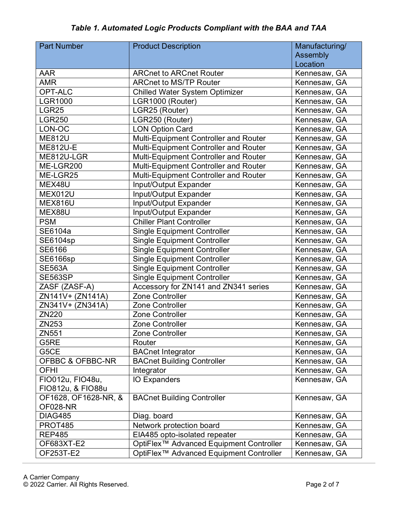| <b>Part Number</b>   | <b>Product Description</b>                          | Manufacturing/ |
|----------------------|-----------------------------------------------------|----------------|
|                      |                                                     | Assembly       |
|                      |                                                     | Location       |
| <b>AAR</b>           | <b>ARCnet to ARCnet Router</b>                      | Kennesaw, GA   |
| <b>AMR</b>           | <b>ARCnet to MS/TP Router</b>                       | Kennesaw, GA   |
| <b>OPT-ALC</b>       | <b>Chilled Water System Optimizer</b>               | Kennesaw, GA   |
| <b>LGR1000</b>       | LGR1000 (Router)                                    | Kennesaw, GA   |
| LGR25                | LGR25 (Router)                                      | Kennesaw, GA   |
| <b>LGR250</b>        | LGR250 (Router)                                     | Kennesaw, GA   |
| LON-OC               | <b>LON Option Card</b>                              | Kennesaw, GA   |
| <b>ME812U</b>        | Multi-Equipment Controller and Router               | Kennesaw, GA   |
| <b>ME812U-E</b>      | Multi-Equipment Controller and Router               | Kennesaw, GA   |
| ME812U-LGR           | Multi-Equipment Controller and Router               | Kennesaw, GA   |
| ME-LGR200            | Multi-Equipment Controller and Router               | Kennesaw, GA   |
| ME-LGR25             | Multi-Equipment Controller and Router               | Kennesaw, GA   |
| MEX48U               | Input/Output Expander                               | Kennesaw, GA   |
| <b>MEX012U</b>       | Input/Output Expander                               | Kennesaw, GA   |
| <b>MEX816U</b>       | Input/Output Expander                               | Kennesaw, GA   |
| MEX88U               | Input/Output Expander                               | Kennesaw, GA   |
| <b>PSM</b>           | <b>Chiller Plant Controller</b>                     | Kennesaw, GA   |
| SE6104a              | <b>Single Equipment Controller</b>                  | Kennesaw, GA   |
| SE6104sp             | <b>Single Equipment Controller</b>                  | Kennesaw, GA   |
| <b>SE6166</b>        | <b>Single Equipment Controller</b>                  | Kennesaw, GA   |
| <b>SE6166sp</b>      | <b>Single Equipment Controller</b>                  | Kennesaw, GA   |
| <b>SE563A</b>        | <b>Single Equipment Controller</b>                  | Kennesaw, GA   |
| <b>SE563SP</b>       | <b>Single Equipment Controller</b>                  | Kennesaw, GA   |
| ZASF (ZASF-A)        | Accessory for ZN141 and ZN341 series                | Kennesaw, GA   |
| ZN141V+ (ZN141A)     | <b>Zone Controller</b>                              | Kennesaw, GA   |
| ZN341V+ (ZN341A)     | <b>Zone Controller</b>                              | Kennesaw, GA   |
| <b>ZN220</b>         | <b>Zone Controller</b>                              | Kennesaw, GA   |
| ZN253                | <b>Zone Controller</b>                              | Kennesaw, GA   |
| ZN551                | <b>Zone Controller</b>                              | Kennesaw, GA   |
| G5RE                 | Router                                              | Kennesaw, GA   |
| G5CE                 | <b>BACnet Integrator</b>                            | Kennesaw, GA   |
| OFBBC & OFBBC-NR     | <b>BACnet Building Controller</b>                   | Kennesaw, GA   |
| <b>OFHI</b>          | Integrator                                          | Kennesaw, GA   |
| FIO012u, FIO48u,     | <b>IO Expanders</b>                                 | Kennesaw, GA   |
| FIO812u, & FIO88u    |                                                     |                |
| OF1628, OF1628-NR, & | <b>BACnet Building Controller</b>                   | Kennesaw, GA   |
| <b>OF028-NR</b>      |                                                     |                |
| <b>DIAG485</b>       | Diag. board                                         | Kennesaw, GA   |
| <b>PROT485</b>       | Network protection board                            | Kennesaw, GA   |
| <b>REP485</b>        | EIA485 opto-isolated repeater                       | Kennesaw, GA   |
| OF683XT-E2           | OptiFlex <sup>™</sup> Advanced Equipment Controller | Kennesaw, GA   |
| OF253T-E2            | OptiFlex <sup>™</sup> Advanced Equipment Controller | Kennesaw, GA   |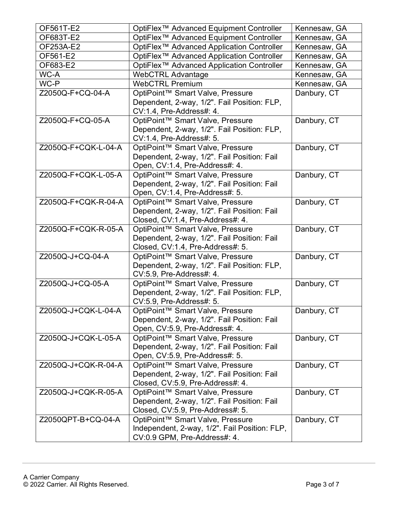| OF561T-E2           | OptiFlex <sup>™</sup> Advanced Equipment Controller                  | Kennesaw, GA |
|---------------------|----------------------------------------------------------------------|--------------|
| OF683T-E2           | OptiFlex <sup>™</sup> Advanced Equipment Controller                  | Kennesaw, GA |
| OF253A-E2           | OptiFlex <sup>™</sup> Advanced Application Controller                | Kennesaw, GA |
| OF561-E2            | OptiFlex <sup>™</sup> Advanced Application Controller                | Kennesaw, GA |
| OF683-E2            | OptiFlex <sup>™</sup> Advanced Application Controller                | Kennesaw, GA |
| WC-A                | <b>WebCTRL Advantage</b>                                             | Kennesaw, GA |
| WC-P                | <b>WebCTRL Premium</b>                                               | Kennesaw, GA |
| Z2050Q-F+CQ-04-A    | OptiPoint™ Smart Valve, Pressure                                     | Danbury, CT  |
|                     | Dependent, 2-way, 1/2". Fail Position: FLP,                          |              |
|                     | CV:1.4, Pre-Address#: 4.                                             |              |
| Z2050Q-F+CQ-05-A    | OptiPoint™ Smart Valve, Pressure                                     | Danbury, CT  |
|                     | Dependent, 2-way, 1/2". Fail Position: FLP,                          |              |
|                     | CV:1.4, Pre-Address#: 5.                                             |              |
| Z2050Q-F+CQK-L-04-A | OptiPoint™ Smart Valve, Pressure                                     | Danbury, CT  |
|                     | Dependent, 2-way, 1/2". Fail Position: Fail                          |              |
|                     | Open, CV:1.4, Pre-Address#: 4.                                       |              |
| Z2050Q-F+CQK-L-05-A | OptiPoint™ Smart Valve, Pressure                                     | Danbury, CT  |
|                     | Dependent, 2-way, 1/2". Fail Position: Fail                          |              |
|                     | Open, CV:1.4, Pre-Address#: 5.                                       |              |
| Z2050Q-F+CQK-R-04-A | OptiPoint™ Smart Valve, Pressure                                     | Danbury, CT  |
|                     | Dependent, 2-way, 1/2". Fail Position: Fail                          |              |
| Z2050Q-F+CQK-R-05-A | Closed, CV:1.4, Pre-Address#: 4.<br>OptiPoint™ Smart Valve, Pressure | Danbury, CT  |
|                     | Dependent, 2-way, 1/2". Fail Position: Fail                          |              |
|                     | Closed, CV:1.4, Pre-Address#: 5.                                     |              |
| Z2050Q-J+CQ-04-A    | OptiPoint™ Smart Valve, Pressure                                     | Danbury, CT  |
|                     | Dependent, 2-way, 1/2". Fail Position: FLP,                          |              |
|                     | CV:5.9, Pre-Address#: 4.                                             |              |
| Z2050Q-J+CQ-05-A    | OptiPoint™ Smart Valve, Pressure                                     | Danbury, CT  |
|                     | Dependent, 2-way, 1/2". Fail Position: FLP,                          |              |
|                     | CV:5.9, Pre-Address#: 5.                                             |              |
| Z2050Q-J+CQK-L-04-A | OptiPoint™ Smart Valve, Pressure                                     | Danbury, CT  |
|                     | Dependent, 2-way, 1/2". Fail Position: Fail                          |              |
|                     | Open, CV:5.9, Pre-Address#: 4.                                       |              |
| Z2050Q-J+CQK-L-05-A | OptiPoint™ Smart Valve, Pressure                                     | Danbury, CT  |
|                     | Dependent, 2-way, 1/2". Fail Position: Fail                          |              |
|                     | Open, CV:5.9, Pre-Address#: 5.                                       |              |
| Z2050Q-J+CQK-R-04-A | OptiPoint™ Smart Valve, Pressure                                     | Danbury, CT  |
|                     | Dependent, 2-way, 1/2". Fail Position: Fail                          |              |
|                     | Closed, CV:5.9, Pre-Address#: 4.                                     |              |
| Z2050Q-J+CQK-R-05-A | OptiPoint™ Smart Valve, Pressure                                     | Danbury, CT  |
|                     | Dependent, 2-way, 1/2". Fail Position: Fail                          |              |
|                     | Closed, CV:5.9, Pre-Address#: 5.                                     |              |
| Z2050QPT-B+CQ-04-A  | OptiPoint™ Smart Valve, Pressure                                     | Danbury, CT  |
|                     | Independent, 2-way, 1/2". Fail Position: FLP,                        |              |
|                     | CV:0.9 GPM, Pre-Address#: 4.                                         |              |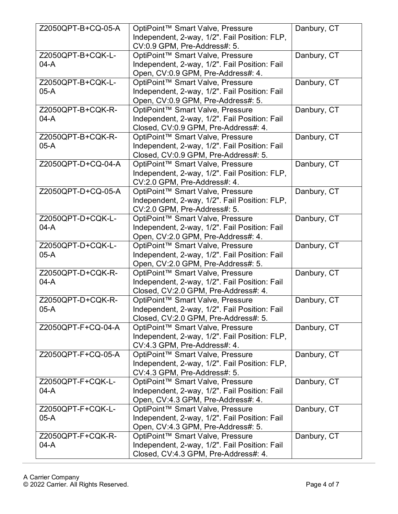| Z2050QPT-B+CQ-05-A | OptiPoint™ Smart Valve, Pressure                                                      | Danbury, CT |
|--------------------|---------------------------------------------------------------------------------------|-------------|
|                    | Independent, 2-way, 1/2". Fail Position: FLP,                                         |             |
|                    | CV:0.9 GPM, Pre-Address#: 5.                                                          |             |
| Z2050QPT-B+CQK-L-  | OptiPoint™ Smart Valve, Pressure                                                      | Danbury, CT |
| $04-A$             | Independent, 2-way, 1/2". Fail Position: Fail                                         |             |
|                    | Open, CV:0.9 GPM, Pre-Address#: 4.                                                    |             |
| Z2050QPT-B+CQK-L-  | OptiPoint™ Smart Valve, Pressure                                                      | Danbury, CT |
| $05-A$             | Independent, 2-way, 1/2". Fail Position: Fail                                         |             |
|                    | Open, CV:0.9 GPM, Pre-Address#: 5.                                                    |             |
| Z2050QPT-B+CQK-R-  | OptiPoint™ Smart Valve, Pressure                                                      | Danbury, CT |
| $04-A$             | Independent, 2-way, 1/2". Fail Position: Fail                                         |             |
|                    | Closed, CV:0.9 GPM, Pre-Address#: 4.                                                  |             |
| Z2050QPT-B+CQK-R-  | OptiPoint™ Smart Valve, Pressure                                                      | Danbury, CT |
| $05-A$             | Independent, 2-way, 1/2". Fail Position: Fail                                         |             |
|                    | Closed, CV:0.9 GPM, Pre-Address#: 5.                                                  |             |
| Z2050QPT-D+CQ-04-A | OptiPoint™ Smart Valve, Pressure                                                      | Danbury, CT |
|                    | Independent, 2-way, 1/2". Fail Position: FLP,                                         |             |
|                    | CV:2.0 GPM, Pre-Address#: 4.                                                          |             |
| Z2050QPT-D+CQ-05-A | OptiPoint™ Smart Valve, Pressure                                                      | Danbury, CT |
|                    | Independent, 2-way, 1/2". Fail Position: FLP,                                         |             |
|                    | CV:2.0 GPM, Pre-Address#: 5.                                                          |             |
| Z2050QPT-D+CQK-L-  | OptiPoint™ Smart Valve, Pressure                                                      | Danbury, CT |
| $04-A$             | Independent, 2-way, 1/2". Fail Position: Fail                                         |             |
|                    | Open, CV:2.0 GPM, Pre-Address#: 4.                                                    |             |
| Z2050QPT-D+CQK-L-  | OptiPoint™ Smart Valve, Pressure                                                      | Danbury, CT |
| $05-A$             | Independent, 2-way, 1/2". Fail Position: Fail                                         |             |
|                    |                                                                                       |             |
|                    | Open, CV:2.0 GPM, Pre-Address#: 5.                                                    |             |
| Z2050QPT-D+CQK-R-  | OptiPoint™ Smart Valve, Pressure                                                      | Danbury, CT |
| $04-A$             | Independent, 2-way, 1/2". Fail Position: Fail                                         |             |
|                    | Closed, CV:2.0 GPM, Pre-Address#: 4.                                                  |             |
| Z2050QPT-D+CQK-R-  | OptiPoint™ Smart Valve, Pressure                                                      | Danbury, CT |
| $05-A$             | Independent, 2-way, 1/2". Fail Position: Fail                                         |             |
|                    | Closed, CV:2.0 GPM, Pre-Address#: 5.                                                  |             |
| Z2050QPT-F+CQ-04-A | OptiPoint™ Smart Valve, Pressure                                                      | Danbury, CT |
|                    | Independent, 2-way, 1/2". Fail Position: FLP,                                         |             |
|                    | CV:4.3 GPM, Pre-Address#: 4.                                                          |             |
| Z2050QPT-F+CQ-05-A | OptiPoint™ Smart Valve, Pressure                                                      | Danbury, CT |
|                    | Independent, 2-way, 1/2". Fail Position: FLP,                                         |             |
| Z2050QPT-F+CQK-L-  | CV:4.3 GPM, Pre-Address#: 5.                                                          |             |
| $04-A$             | OptiPoint™ Smart Valve, Pressure<br>Independent, 2-way, 1/2". Fail Position: Fail     | Danbury, CT |
|                    | Open, CV:4.3 GPM, Pre-Address#: 4.                                                    |             |
| Z2050QPT-F+CQK-L-  | OptiPoint™ Smart Valve, Pressure                                                      | Danbury, CT |
| $05-A$             | Independent, 2-way, 1/2". Fail Position: Fail                                         |             |
|                    | Open, CV:4.3 GPM, Pre-Address#: 5.                                                    |             |
| Z2050QPT-F+CQK-R-  | OptiPoint™ Smart Valve, Pressure                                                      | Danbury, CT |
| $04-A$             | Independent, 2-way, 1/2". Fail Position: Fail<br>Closed, CV:4.3 GPM, Pre-Address#: 4. |             |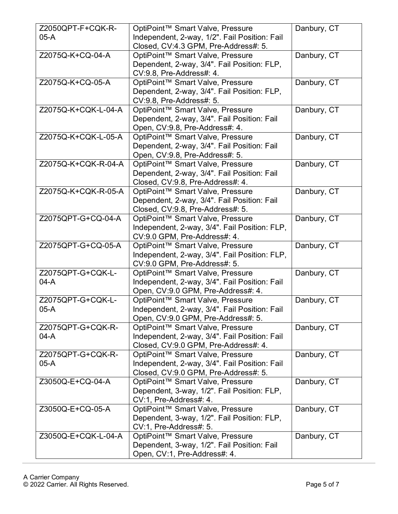| Z2050QPT-F+CQK-R-   | OptiPoint™ Smart Valve, Pressure              | Danbury, CT |
|---------------------|-----------------------------------------------|-------------|
| $05-A$              | Independent, 2-way, 1/2". Fail Position: Fail |             |
|                     | Closed, CV:4.3 GPM, Pre-Address#: 5.          |             |
| Z2075Q-K+CQ-04-A    | OptiPoint™ Smart Valve, Pressure              | Danbury, CT |
|                     | Dependent, 2-way, 3/4". Fail Position: FLP,   |             |
|                     | CV:9.8, Pre-Address#: 4.                      |             |
| Z2075Q-K+CQ-05-A    | OptiPoint™ Smart Valve, Pressure              | Danbury, CT |
|                     | Dependent, 2-way, 3/4". Fail Position: FLP,   |             |
|                     | CV:9.8, Pre-Address#: 5.                      |             |
| Z2075Q-K+CQK-L-04-A | OptiPoint™ Smart Valve, Pressure              | Danbury, CT |
|                     | Dependent, 2-way, 3/4". Fail Position: Fail   |             |
|                     | Open, CV:9.8, Pre-Address#: 4.                |             |
| Z2075Q-K+CQK-L-05-A | OptiPoint™ Smart Valve, Pressure              | Danbury, CT |
|                     | Dependent, 2-way, 3/4". Fail Position: Fail   |             |
|                     | Open, CV:9.8, Pre-Address#: 5.                |             |
| Z2075Q-K+CQK-R-04-A | OptiPoint™ Smart Valve, Pressure              | Danbury, CT |
|                     | Dependent, 2-way, 3/4". Fail Position: Fail   |             |
|                     | Closed, CV:9.8, Pre-Address#: 4.              |             |
| Z2075Q-K+CQK-R-05-A | OptiPoint™ Smart Valve, Pressure              | Danbury, CT |
|                     | Dependent, 2-way, 3/4". Fail Position: Fail   |             |
|                     | Closed, CV:9.8, Pre-Address#: 5.              |             |
| Z2075QPT-G+CQ-04-A  | OptiPoint™ Smart Valve, Pressure              | Danbury, CT |
|                     | Independent, 2-way, 3/4". Fail Position: FLP, |             |
|                     | CV:9.0 GPM, Pre-Address#: 4.                  |             |
| Z2075QPT-G+CQ-05-A  | OptiPoint™ Smart Valve, Pressure              | Danbury, CT |
|                     | Independent, 2-way, 3/4". Fail Position: FLP, |             |
|                     | CV:9.0 GPM, Pre-Address#: 5.                  |             |
| Z2075QPT-G+CQK-L-   | OptiPoint™ Smart Valve, Pressure              | Danbury, CT |
| $04-A$              | Independent, 2-way, 3/4". Fail Position: Fail |             |
|                     | Open, CV:9.0 GPM, Pre-Address#: 4.            |             |
| Z2075QPT-G+CQK-L-   | OptiPoint™ Smart Valve, Pressure              | Danbury, CT |
| $05-A$              | Independent, 2-way, 3/4". Fail Position: Fail |             |
|                     | Open, CV:9.0 GPM, Pre-Address#: 5.            |             |
| Z2075QPT-G+CQK-R-   | OptiPoint™ Smart Valve, Pressure              | Danbury, CT |
| 04-A                | Independent, 2-way, 3/4". Fail Position: Fail |             |
|                     | Closed, CV:9.0 GPM, Pre-Address#: 4.          |             |
| Z2075QPT-G+CQK-R-   | OptiPoint™ Smart Valve, Pressure              | Danbury, CT |
| $05-A$              | Independent, 2-way, 3/4". Fail Position: Fail |             |
|                     | Closed, CV:9.0 GPM, Pre-Address#: 5.          |             |
| Z3050Q-E+CQ-04-A    | OptiPoint™ Smart Valve, Pressure              | Danbury, CT |
|                     | Dependent, 3-way, 1/2". Fail Position: FLP,   |             |
|                     | CV:1, Pre-Address#: 4.                        |             |
| Z3050Q-E+CQ-05-A    | OptiPoint™ Smart Valve, Pressure              | Danbury, CT |
|                     | Dependent, 3-way, 1/2". Fail Position: FLP,   |             |
|                     | CV:1, Pre-Address#: 5.                        |             |
| Z3050Q-E+CQK-L-04-A | OptiPoint™ Smart Valve, Pressure              | Danbury, CT |
|                     | Dependent, 3-way, 1/2". Fail Position: Fail   |             |
|                     | Open, CV:1, Pre-Address#: 4.                  |             |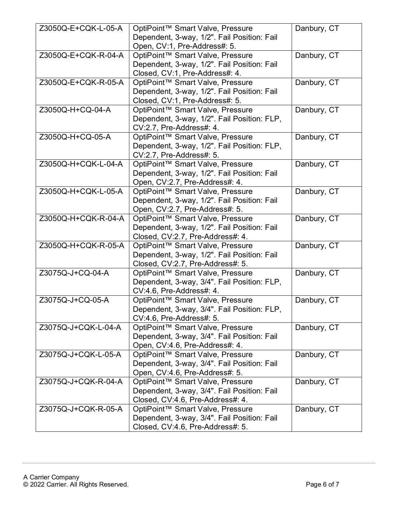| Danbury, CT<br>Z3050Q-E+CQK-L-05-A<br>OptiPoint™ Smart Valve, Pressure<br>Dependent, 3-way, 1/2". Fail Position: Fail<br>Open, CV:1, Pre-Address#: 5.<br>Danbury, CT<br>Z3050Q-E+CQK-R-04-A<br>OptiPoint™ Smart Valve, Pressure<br>Dependent, 3-way, 1/2". Fail Position: Fail<br>Closed, CV:1, Pre-Address#: 4.<br>Danbury, CT<br>Z3050Q-E+CQK-R-05-A<br>OptiPoint™ Smart Valve, Pressure<br>Dependent, 3-way, 1/2". Fail Position: Fail<br>Closed, CV:1, Pre-Address#: 5.<br>Z3050Q-H+CQ-04-A<br>OptiPoint™ Smart Valve, Pressure<br>Danbury, CT<br>Dependent, 3-way, 1/2". Fail Position: FLP,<br>CV:2.7, Pre-Address#: 4.<br>Z3050Q-H+CQ-05-A<br>Danbury, CT<br>OptiPoint™ Smart Valve, Pressure<br>Dependent, 3-way, 1/2". Fail Position: FLP,<br>CV:2.7, Pre-Address#: 5.<br>Z3050Q-H+CQK-L-04-A<br>Danbury, CT<br>OptiPoint™ Smart Valve, Pressure<br>Dependent, 3-way, 1/2". Fail Position: Fail<br>Open, CV:2.7, Pre-Address#: 4.<br>Z3050Q-H+CQK-L-05-A<br>Danbury, CT<br>OptiPoint™ Smart Valve, Pressure<br>Dependent, 3-way, 1/2". Fail Position: Fail<br>Open, CV:2.7, Pre-Address#: 5.<br>OptiPoint™ Smart Valve, Pressure<br>Danbury, CT<br>Z3050Q-H+CQK-R-04-A<br>Dependent, 3-way, 1/2". Fail Position: Fail<br>Closed, CV:2.7, Pre-Address#: 4.<br>Z3050Q-H+CQK-R-05-A<br>Danbury, CT<br>OptiPoint™ Smart Valve, Pressure<br>Dependent, 3-way, 1/2". Fail Position: Fail<br>Closed, CV:2.7, Pre-Address#: 5.<br>OptiPoint™ Smart Valve, Pressure<br>Danbury, CT<br>Z3075Q-J+CQ-04-A<br>Dependent, 3-way, 3/4". Fail Position: FLP,<br>CV:4.6, Pre-Address#: 4.<br>Z3075Q-J+CQ-05-A<br>OptiPoint™ Smart Valve, Pressure<br>Danbury, CT<br>Dependent, 3-way, 3/4". Fail Position: FLP,<br>CV:4.6, Pre-Address#: 5.<br>Z3075Q-J+CQK-L-04-A<br>OptiPoint™ Smart Valve, Pressure<br>Danbury, CT<br>Dependent, 3-way, 3/4". Fail Position: Fail<br>Open, CV:4.6, Pre-Address#: 4.<br>Z3075Q-J+CQK-L-05-A<br>OptiPoint™ Smart Valve, Pressure<br>Danbury, CT<br>Dependent, 3-way, 3/4". Fail Position: Fail<br>Open, CV:4.6, Pre-Address#: 5.<br>Z3075Q-J+CQK-R-04-A<br>OptiPoint™ Smart Valve, Pressure<br>Danbury, CT<br>Dependent, 3-way, 3/4". Fail Position: Fail |                                  |  |
|------------------------------------------------------------------------------------------------------------------------------------------------------------------------------------------------------------------------------------------------------------------------------------------------------------------------------------------------------------------------------------------------------------------------------------------------------------------------------------------------------------------------------------------------------------------------------------------------------------------------------------------------------------------------------------------------------------------------------------------------------------------------------------------------------------------------------------------------------------------------------------------------------------------------------------------------------------------------------------------------------------------------------------------------------------------------------------------------------------------------------------------------------------------------------------------------------------------------------------------------------------------------------------------------------------------------------------------------------------------------------------------------------------------------------------------------------------------------------------------------------------------------------------------------------------------------------------------------------------------------------------------------------------------------------------------------------------------------------------------------------------------------------------------------------------------------------------------------------------------------------------------------------------------------------------------------------------------------------------------------------------------------------------------------------------------------------------------------------------------------------------------------------------------------------------|----------------------------------|--|
|                                                                                                                                                                                                                                                                                                                                                                                                                                                                                                                                                                                                                                                                                                                                                                                                                                                                                                                                                                                                                                                                                                                                                                                                                                                                                                                                                                                                                                                                                                                                                                                                                                                                                                                                                                                                                                                                                                                                                                                                                                                                                                                                                                                    |                                  |  |
|                                                                                                                                                                                                                                                                                                                                                                                                                                                                                                                                                                                                                                                                                                                                                                                                                                                                                                                                                                                                                                                                                                                                                                                                                                                                                                                                                                                                                                                                                                                                                                                                                                                                                                                                                                                                                                                                                                                                                                                                                                                                                                                                                                                    |                                  |  |
|                                                                                                                                                                                                                                                                                                                                                                                                                                                                                                                                                                                                                                                                                                                                                                                                                                                                                                                                                                                                                                                                                                                                                                                                                                                                                                                                                                                                                                                                                                                                                                                                                                                                                                                                                                                                                                                                                                                                                                                                                                                                                                                                                                                    |                                  |  |
|                                                                                                                                                                                                                                                                                                                                                                                                                                                                                                                                                                                                                                                                                                                                                                                                                                                                                                                                                                                                                                                                                                                                                                                                                                                                                                                                                                                                                                                                                                                                                                                                                                                                                                                                                                                                                                                                                                                                                                                                                                                                                                                                                                                    |                                  |  |
|                                                                                                                                                                                                                                                                                                                                                                                                                                                                                                                                                                                                                                                                                                                                                                                                                                                                                                                                                                                                                                                                                                                                                                                                                                                                                                                                                                                                                                                                                                                                                                                                                                                                                                                                                                                                                                                                                                                                                                                                                                                                                                                                                                                    |                                  |  |
|                                                                                                                                                                                                                                                                                                                                                                                                                                                                                                                                                                                                                                                                                                                                                                                                                                                                                                                                                                                                                                                                                                                                                                                                                                                                                                                                                                                                                                                                                                                                                                                                                                                                                                                                                                                                                                                                                                                                                                                                                                                                                                                                                                                    |                                  |  |
|                                                                                                                                                                                                                                                                                                                                                                                                                                                                                                                                                                                                                                                                                                                                                                                                                                                                                                                                                                                                                                                                                                                                                                                                                                                                                                                                                                                                                                                                                                                                                                                                                                                                                                                                                                                                                                                                                                                                                                                                                                                                                                                                                                                    |                                  |  |
|                                                                                                                                                                                                                                                                                                                                                                                                                                                                                                                                                                                                                                                                                                                                                                                                                                                                                                                                                                                                                                                                                                                                                                                                                                                                                                                                                                                                                                                                                                                                                                                                                                                                                                                                                                                                                                                                                                                                                                                                                                                                                                                                                                                    |                                  |  |
|                                                                                                                                                                                                                                                                                                                                                                                                                                                                                                                                                                                                                                                                                                                                                                                                                                                                                                                                                                                                                                                                                                                                                                                                                                                                                                                                                                                                                                                                                                                                                                                                                                                                                                                                                                                                                                                                                                                                                                                                                                                                                                                                                                                    |                                  |  |
|                                                                                                                                                                                                                                                                                                                                                                                                                                                                                                                                                                                                                                                                                                                                                                                                                                                                                                                                                                                                                                                                                                                                                                                                                                                                                                                                                                                                                                                                                                                                                                                                                                                                                                                                                                                                                                                                                                                                                                                                                                                                                                                                                                                    |                                  |  |
|                                                                                                                                                                                                                                                                                                                                                                                                                                                                                                                                                                                                                                                                                                                                                                                                                                                                                                                                                                                                                                                                                                                                                                                                                                                                                                                                                                                                                                                                                                                                                                                                                                                                                                                                                                                                                                                                                                                                                                                                                                                                                                                                                                                    |                                  |  |
|                                                                                                                                                                                                                                                                                                                                                                                                                                                                                                                                                                                                                                                                                                                                                                                                                                                                                                                                                                                                                                                                                                                                                                                                                                                                                                                                                                                                                                                                                                                                                                                                                                                                                                                                                                                                                                                                                                                                                                                                                                                                                                                                                                                    |                                  |  |
|                                                                                                                                                                                                                                                                                                                                                                                                                                                                                                                                                                                                                                                                                                                                                                                                                                                                                                                                                                                                                                                                                                                                                                                                                                                                                                                                                                                                                                                                                                                                                                                                                                                                                                                                                                                                                                                                                                                                                                                                                                                                                                                                                                                    |                                  |  |
|                                                                                                                                                                                                                                                                                                                                                                                                                                                                                                                                                                                                                                                                                                                                                                                                                                                                                                                                                                                                                                                                                                                                                                                                                                                                                                                                                                                                                                                                                                                                                                                                                                                                                                                                                                                                                                                                                                                                                                                                                                                                                                                                                                                    |                                  |  |
|                                                                                                                                                                                                                                                                                                                                                                                                                                                                                                                                                                                                                                                                                                                                                                                                                                                                                                                                                                                                                                                                                                                                                                                                                                                                                                                                                                                                                                                                                                                                                                                                                                                                                                                                                                                                                                                                                                                                                                                                                                                                                                                                                                                    |                                  |  |
|                                                                                                                                                                                                                                                                                                                                                                                                                                                                                                                                                                                                                                                                                                                                                                                                                                                                                                                                                                                                                                                                                                                                                                                                                                                                                                                                                                                                                                                                                                                                                                                                                                                                                                                                                                                                                                                                                                                                                                                                                                                                                                                                                                                    |                                  |  |
|                                                                                                                                                                                                                                                                                                                                                                                                                                                                                                                                                                                                                                                                                                                                                                                                                                                                                                                                                                                                                                                                                                                                                                                                                                                                                                                                                                                                                                                                                                                                                                                                                                                                                                                                                                                                                                                                                                                                                                                                                                                                                                                                                                                    |                                  |  |
|                                                                                                                                                                                                                                                                                                                                                                                                                                                                                                                                                                                                                                                                                                                                                                                                                                                                                                                                                                                                                                                                                                                                                                                                                                                                                                                                                                                                                                                                                                                                                                                                                                                                                                                                                                                                                                                                                                                                                                                                                                                                                                                                                                                    |                                  |  |
|                                                                                                                                                                                                                                                                                                                                                                                                                                                                                                                                                                                                                                                                                                                                                                                                                                                                                                                                                                                                                                                                                                                                                                                                                                                                                                                                                                                                                                                                                                                                                                                                                                                                                                                                                                                                                                                                                                                                                                                                                                                                                                                                                                                    |                                  |  |
|                                                                                                                                                                                                                                                                                                                                                                                                                                                                                                                                                                                                                                                                                                                                                                                                                                                                                                                                                                                                                                                                                                                                                                                                                                                                                                                                                                                                                                                                                                                                                                                                                                                                                                                                                                                                                                                                                                                                                                                                                                                                                                                                                                                    |                                  |  |
|                                                                                                                                                                                                                                                                                                                                                                                                                                                                                                                                                                                                                                                                                                                                                                                                                                                                                                                                                                                                                                                                                                                                                                                                                                                                                                                                                                                                                                                                                                                                                                                                                                                                                                                                                                                                                                                                                                                                                                                                                                                                                                                                                                                    |                                  |  |
|                                                                                                                                                                                                                                                                                                                                                                                                                                                                                                                                                                                                                                                                                                                                                                                                                                                                                                                                                                                                                                                                                                                                                                                                                                                                                                                                                                                                                                                                                                                                                                                                                                                                                                                                                                                                                                                                                                                                                                                                                                                                                                                                                                                    |                                  |  |
|                                                                                                                                                                                                                                                                                                                                                                                                                                                                                                                                                                                                                                                                                                                                                                                                                                                                                                                                                                                                                                                                                                                                                                                                                                                                                                                                                                                                                                                                                                                                                                                                                                                                                                                                                                                                                                                                                                                                                                                                                                                                                                                                                                                    |                                  |  |
|                                                                                                                                                                                                                                                                                                                                                                                                                                                                                                                                                                                                                                                                                                                                                                                                                                                                                                                                                                                                                                                                                                                                                                                                                                                                                                                                                                                                                                                                                                                                                                                                                                                                                                                                                                                                                                                                                                                                                                                                                                                                                                                                                                                    |                                  |  |
|                                                                                                                                                                                                                                                                                                                                                                                                                                                                                                                                                                                                                                                                                                                                                                                                                                                                                                                                                                                                                                                                                                                                                                                                                                                                                                                                                                                                                                                                                                                                                                                                                                                                                                                                                                                                                                                                                                                                                                                                                                                                                                                                                                                    |                                  |  |
|                                                                                                                                                                                                                                                                                                                                                                                                                                                                                                                                                                                                                                                                                                                                                                                                                                                                                                                                                                                                                                                                                                                                                                                                                                                                                                                                                                                                                                                                                                                                                                                                                                                                                                                                                                                                                                                                                                                                                                                                                                                                                                                                                                                    |                                  |  |
|                                                                                                                                                                                                                                                                                                                                                                                                                                                                                                                                                                                                                                                                                                                                                                                                                                                                                                                                                                                                                                                                                                                                                                                                                                                                                                                                                                                                                                                                                                                                                                                                                                                                                                                                                                                                                                                                                                                                                                                                                                                                                                                                                                                    |                                  |  |
|                                                                                                                                                                                                                                                                                                                                                                                                                                                                                                                                                                                                                                                                                                                                                                                                                                                                                                                                                                                                                                                                                                                                                                                                                                                                                                                                                                                                                                                                                                                                                                                                                                                                                                                                                                                                                                                                                                                                                                                                                                                                                                                                                                                    |                                  |  |
|                                                                                                                                                                                                                                                                                                                                                                                                                                                                                                                                                                                                                                                                                                                                                                                                                                                                                                                                                                                                                                                                                                                                                                                                                                                                                                                                                                                                                                                                                                                                                                                                                                                                                                                                                                                                                                                                                                                                                                                                                                                                                                                                                                                    |                                  |  |
|                                                                                                                                                                                                                                                                                                                                                                                                                                                                                                                                                                                                                                                                                                                                                                                                                                                                                                                                                                                                                                                                                                                                                                                                                                                                                                                                                                                                                                                                                                                                                                                                                                                                                                                                                                                                                                                                                                                                                                                                                                                                                                                                                                                    |                                  |  |
|                                                                                                                                                                                                                                                                                                                                                                                                                                                                                                                                                                                                                                                                                                                                                                                                                                                                                                                                                                                                                                                                                                                                                                                                                                                                                                                                                                                                                                                                                                                                                                                                                                                                                                                                                                                                                                                                                                                                                                                                                                                                                                                                                                                    |                                  |  |
|                                                                                                                                                                                                                                                                                                                                                                                                                                                                                                                                                                                                                                                                                                                                                                                                                                                                                                                                                                                                                                                                                                                                                                                                                                                                                                                                                                                                                                                                                                                                                                                                                                                                                                                                                                                                                                                                                                                                                                                                                                                                                                                                                                                    |                                  |  |
|                                                                                                                                                                                                                                                                                                                                                                                                                                                                                                                                                                                                                                                                                                                                                                                                                                                                                                                                                                                                                                                                                                                                                                                                                                                                                                                                                                                                                                                                                                                                                                                                                                                                                                                                                                                                                                                                                                                                                                                                                                                                                                                                                                                    |                                  |  |
|                                                                                                                                                                                                                                                                                                                                                                                                                                                                                                                                                                                                                                                                                                                                                                                                                                                                                                                                                                                                                                                                                                                                                                                                                                                                                                                                                                                                                                                                                                                                                                                                                                                                                                                                                                                                                                                                                                                                                                                                                                                                                                                                                                                    |                                  |  |
|                                                                                                                                                                                                                                                                                                                                                                                                                                                                                                                                                                                                                                                                                                                                                                                                                                                                                                                                                                                                                                                                                                                                                                                                                                                                                                                                                                                                                                                                                                                                                                                                                                                                                                                                                                                                                                                                                                                                                                                                                                                                                                                                                                                    |                                  |  |
|                                                                                                                                                                                                                                                                                                                                                                                                                                                                                                                                                                                                                                                                                                                                                                                                                                                                                                                                                                                                                                                                                                                                                                                                                                                                                                                                                                                                                                                                                                                                                                                                                                                                                                                                                                                                                                                                                                                                                                                                                                                                                                                                                                                    |                                  |  |
|                                                                                                                                                                                                                                                                                                                                                                                                                                                                                                                                                                                                                                                                                                                                                                                                                                                                                                                                                                                                                                                                                                                                                                                                                                                                                                                                                                                                                                                                                                                                                                                                                                                                                                                                                                                                                                                                                                                                                                                                                                                                                                                                                                                    |                                  |  |
|                                                                                                                                                                                                                                                                                                                                                                                                                                                                                                                                                                                                                                                                                                                                                                                                                                                                                                                                                                                                                                                                                                                                                                                                                                                                                                                                                                                                                                                                                                                                                                                                                                                                                                                                                                                                                                                                                                                                                                                                                                                                                                                                                                                    |                                  |  |
|                                                                                                                                                                                                                                                                                                                                                                                                                                                                                                                                                                                                                                                                                                                                                                                                                                                                                                                                                                                                                                                                                                                                                                                                                                                                                                                                                                                                                                                                                                                                                                                                                                                                                                                                                                                                                                                                                                                                                                                                                                                                                                                                                                                    |                                  |  |
|                                                                                                                                                                                                                                                                                                                                                                                                                                                                                                                                                                                                                                                                                                                                                                                                                                                                                                                                                                                                                                                                                                                                                                                                                                                                                                                                                                                                                                                                                                                                                                                                                                                                                                                                                                                                                                                                                                                                                                                                                                                                                                                                                                                    |                                  |  |
|                                                                                                                                                                                                                                                                                                                                                                                                                                                                                                                                                                                                                                                                                                                                                                                                                                                                                                                                                                                                                                                                                                                                                                                                                                                                                                                                                                                                                                                                                                                                                                                                                                                                                                                                                                                                                                                                                                                                                                                                                                                                                                                                                                                    |                                  |  |
|                                                                                                                                                                                                                                                                                                                                                                                                                                                                                                                                                                                                                                                                                                                                                                                                                                                                                                                                                                                                                                                                                                                                                                                                                                                                                                                                                                                                                                                                                                                                                                                                                                                                                                                                                                                                                                                                                                                                                                                                                                                                                                                                                                                    |                                  |  |
|                                                                                                                                                                                                                                                                                                                                                                                                                                                                                                                                                                                                                                                                                                                                                                                                                                                                                                                                                                                                                                                                                                                                                                                                                                                                                                                                                                                                                                                                                                                                                                                                                                                                                                                                                                                                                                                                                                                                                                                                                                                                                                                                                                                    |                                  |  |
|                                                                                                                                                                                                                                                                                                                                                                                                                                                                                                                                                                                                                                                                                                                                                                                                                                                                                                                                                                                                                                                                                                                                                                                                                                                                                                                                                                                                                                                                                                                                                                                                                                                                                                                                                                                                                                                                                                                                                                                                                                                                                                                                                                                    | Closed, CV:4.6, Pre-Address#: 4. |  |
| OptiPoint™ Smart Valve, Pressure<br>Z3075Q-J+CQK-R-05-A<br>Danbury, CT                                                                                                                                                                                                                                                                                                                                                                                                                                                                                                                                                                                                                                                                                                                                                                                                                                                                                                                                                                                                                                                                                                                                                                                                                                                                                                                                                                                                                                                                                                                                                                                                                                                                                                                                                                                                                                                                                                                                                                                                                                                                                                             |                                  |  |
| Dependent, 3-way, 3/4". Fail Position: Fail                                                                                                                                                                                                                                                                                                                                                                                                                                                                                                                                                                                                                                                                                                                                                                                                                                                                                                                                                                                                                                                                                                                                                                                                                                                                                                                                                                                                                                                                                                                                                                                                                                                                                                                                                                                                                                                                                                                                                                                                                                                                                                                                        |                                  |  |
| Closed, CV:4.6, Pre-Address#: 5.                                                                                                                                                                                                                                                                                                                                                                                                                                                                                                                                                                                                                                                                                                                                                                                                                                                                                                                                                                                                                                                                                                                                                                                                                                                                                                                                                                                                                                                                                                                                                                                                                                                                                                                                                                                                                                                                                                                                                                                                                                                                                                                                                   |                                  |  |